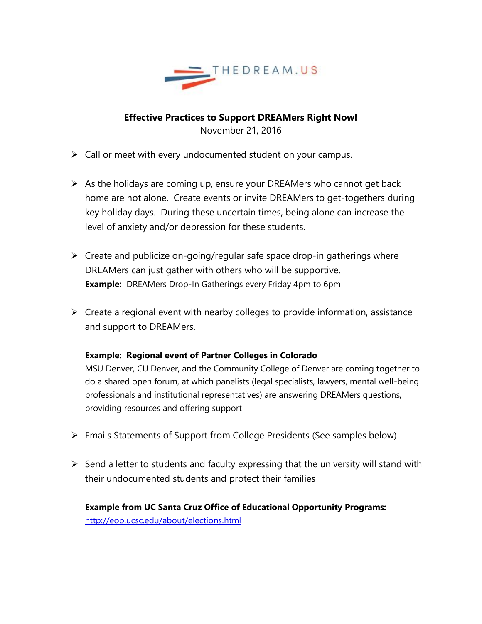

**Effective Practices to Support DREAMers Right Now!** November 21, 2016

- $\triangleright$  Call or meet with every undocumented student on your campus.
- $\triangleright$  As the holidays are coming up, ensure your DREAMers who cannot get back home are not alone. Create events or invite DREAMers to get-togethers during key holiday days. During these uncertain times, being alone can increase the level of anxiety and/or depression for these students.
- $\triangleright$  Create and publicize on-going/regular safe space drop-in gatherings where DREAMers can just gather with others who will be supportive. **Example:** DREAMers Drop-In Gatherings every Friday 4pm to 6pm
- $\triangleright$  Create a regional event with nearby colleges to provide information, assistance and support to DREAMers.

## **Example: Regional event of Partner Colleges in Colorado**

MSU Denver, CU Denver, and the Community College of Denver are coming together to do a shared open forum, at which panelists (legal specialists, lawyers, mental well-being professionals and institutional representatives) are answering DREAMers questions, providing resources and offering support

- Emails Statements of Support from College Presidents (See samples below)
- $\triangleright$  Send a letter to students and faculty expressing that the university will stand with their undocumented students and protect their families

**Example from UC Santa Cruz Office of Educational Opportunity Programs:** http://eop.ucsc.edu/about/elections.html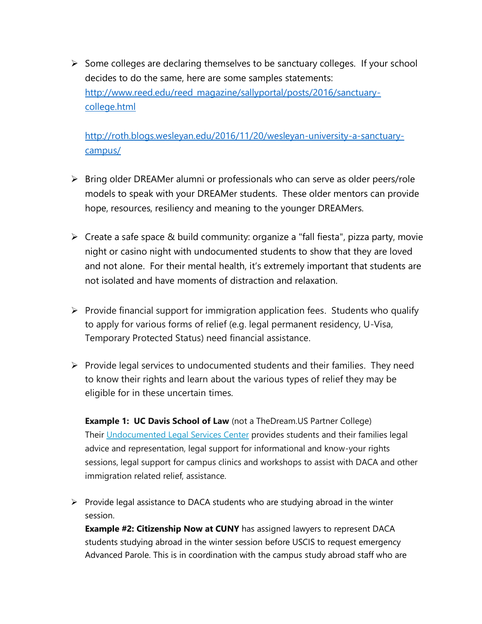$\triangleright$  Some colleges are declaring themselves to be sanctuary colleges. If your school decides to do the same, here are some samples statements: [http://www.reed.edu/reed\\_magazine/sallyportal/posts/2016/sanctuary](http://www.reed.edu/reed_magazine/sallyportal/posts/2016/sanctuary-college.html)[college.html](http://www.reed.edu/reed_magazine/sallyportal/posts/2016/sanctuary-college.html)

[http://roth.blogs.wesleyan.edu/2016/11/20/wesleyan-university-a-sanctuary](http://roth.blogs.wesleyan.edu/2016/11/20/wesleyan-university-a-sanctuary-campus/)[campus/](http://roth.blogs.wesleyan.edu/2016/11/20/wesleyan-university-a-sanctuary-campus/)

- $\triangleright$  Bring older DREAMer alumni or professionals who can serve as older peers/role models to speak with your DREAMer students. These older mentors can provide hope, resources, resiliency and meaning to the younger DREAMers.
- $\triangleright$  Create a safe space & build community: organize a "fall fiesta", pizza party, movie night or casino night with undocumented students to show that they are loved and not alone. For their mental health, it's extremely important that students are not isolated and have moments of distraction and relaxation.
- $\triangleright$  Provide financial support for immigration application fees. Students who qualify to apply for various forms of relief (e.g. legal permanent residency, U-Visa, Temporary Protected Status) need financial assistance.
- $\triangleright$  Provide legal services to undocumented students and their families. They need to know their rights and learn about the various types of relief they may be eligible for in these uncertain times.

**Example 1: UC Davis School of Law** (not a TheDream.US Partner College) Their [Undocumented Legal Services Center](https://law.ucdavis.edu/uc-undocumented/) provides students and their families legal advice and representation, legal support for informational and know-your rights sessions, legal support for campus clinics and workshops to assist with DACA and other immigration related relief, assistance.

 $\triangleright$  Provide legal assistance to DACA students who are studying abroad in the winter session.

**Example #2: Citizenship Now at CUNY** has assigned lawyers to represent DACA students studying abroad in the winter session before USCIS to request emergency Advanced Parole. This is in coordination with the campus study abroad staff who are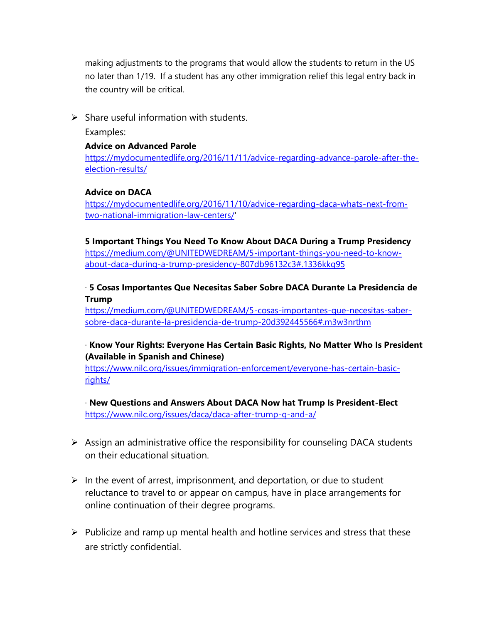making adjustments to the programs that would allow the students to return in the US no later than 1/19. If a student has any other immigration relief this legal entry back in the country will be critical.

# $\triangleright$  Share useful information with students.

Examples:

## **Advice on Advanced Parole**

[https://mydocumentedlife.org/2016/11/11/advice-regarding-advance-parole-after-the](https://mydocumentedlife.org/2016/11/11/advice-regarding-advance-parole-after-the-election-results/)[election-results/](https://mydocumentedlife.org/2016/11/11/advice-regarding-advance-parole-after-the-election-results/)

# **Advice on DACA**

[https://mydocumentedlife.org/2016/11/10/advice-regarding-daca-whats-next-from](https://mydocumentedlife.org/2016/11/10/advice-regarding-daca-whats-next-from-two-national-immigration-law-centers/)[two-national-immigration-law-centers/'](https://mydocumentedlife.org/2016/11/10/advice-regarding-daca-whats-next-from-two-national-immigration-law-centers/)

# **5 Important Things You Need To Know About DACA During a Trump Presidency**

[https://medium.com/@UNITEDWEDREAM/5-important-things-you-need-to-know](https://medium.com/@UNITEDWEDREAM/5-important-things-you-need-to-know-about-daca-during-a-trump-presidency-807db96132c3#.1336kkq95)[about-daca-during-a-trump-presidency-807db96132c3#.1336kkq95](https://medium.com/@UNITEDWEDREAM/5-important-things-you-need-to-know-about-daca-during-a-trump-presidency-807db96132c3#.1336kkq95)

# · **5 Cosas Importantes Que Necesitas Saber Sobre DACA Durante La Presidencia de Trump**

[https://medium.com/@UNITEDWEDREAM/5-cosas-importantes-que-necesitas-saber](https://medium.com/@UNITEDWEDREAM/5-cosas-importantes-que-necesitas-saber-sobre-daca-durante-la-presidencia-de-trump-20d392445566#.m3w3nrthm)[sobre-daca-durante-la-presidencia-de-trump-20d392445566#.m3w3nrthm](https://medium.com/@UNITEDWEDREAM/5-cosas-importantes-que-necesitas-saber-sobre-daca-durante-la-presidencia-de-trump-20d392445566#.m3w3nrthm)

# · **Know Your Rights: Everyone Has Certain Basic Rights, No Matter Who Is President (Available in Spanish and Chinese)**

[https://www.nilc.org/issues/immigration-enforcement/everyone-has-certain-basic](https://www.nilc.org/issues/immigration-enforcement/everyone-has-certain-basic-rights/)[rights/](https://www.nilc.org/issues/immigration-enforcement/everyone-has-certain-basic-rights/)

· **New Questions and Answers About DACA Now hat Trump Is President-Elect** <https://www.nilc.org/issues/daca/daca-after-trump-q-and-a/>

- $\triangleright$  Assign an administrative office the responsibility for counseling DACA students on their educational situation.
- $\triangleright$  In the event of arrest, imprisonment, and deportation, or due to student reluctance to travel to or appear on campus, have in place arrangements for online continuation of their degree programs.
- $\triangleright$  Publicize and ramp up mental health and hotline services and stress that these are strictly confidential.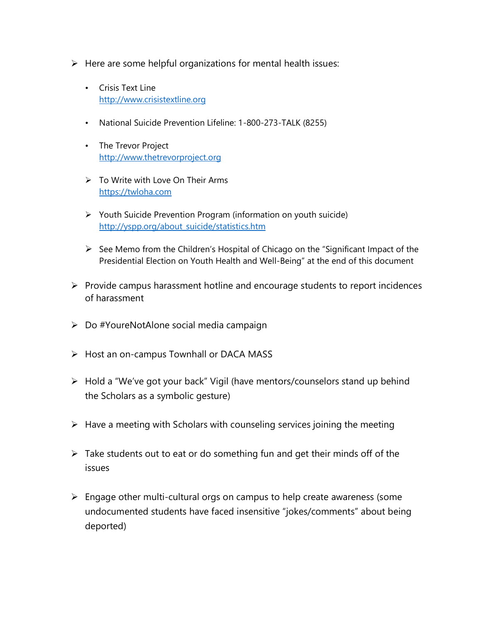- $\triangleright$  Here are some helpful organizations for mental health issues:
	- Crisis Text Line [http://www.crisistextline.org](http://www.crisistextline.org/)
	- National Suicide Prevention Lifeline: 1-800-273-TALK (8255)
	- The Trevor Project [http://www.thetrevorproject.org](http://www.thetrevorproject.org/)
	- $\triangleright$  To Write with Love On Their Arms [https://twloha.com](https://twloha.com/)
	- $\triangleright$  Youth Suicide Prevention Program (information on youth suicide) [http://yspp.org/about\\_suicide/statistics.htm](http://yspp.org/about_suicide/statistics.htm)
	- $\triangleright$  See Memo from the Children's Hospital of Chicago on the "Significant Impact of the Presidential Election on Youth Health and Well-Being" at the end of this document
- $\triangleright$  Provide campus harassment hotline and encourage students to report incidences of harassment
- Do #YoureNotAlone social media campaign
- $\triangleright$  Host an on-campus Townhall or DACA MASS
- Hold a "We've got your back" Vigil (have mentors/counselors stand up behind the Scholars as a symbolic gesture)
- $\triangleright$  Have a meeting with Scholars with counseling services joining the meeting
- $\triangleright$  Take students out to eat or do something fun and get their minds off of the issues
- $\triangleright$  Engage other multi-cultural orgs on campus to help create awareness (some undocumented students have faced insensitive "jokes/comments" about being deported)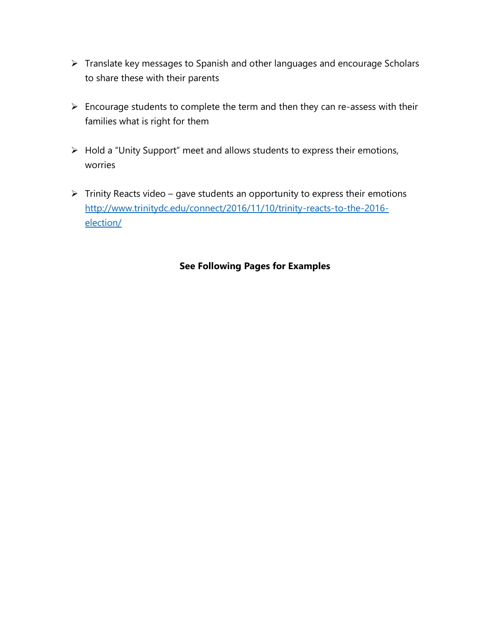- Translate key messages to Spanish and other languages and encourage Scholars to share these with their parents
- $\triangleright$  Encourage students to complete the term and then they can re-assess with their families what is right for them
- Hold a "Unity Support" meet and allows students to express their emotions, worries
- $\triangleright$  Trinity Reacts video gave students an opportunity to express their emotions [http://www.trinitydc.edu/connect/2016/11/10/trinity-reacts-to-the-2016](http://www.trinitydc.edu/connect/2016/11/10/trinity-reacts-to-the-2016-election/) [election/](http://www.trinitydc.edu/connect/2016/11/10/trinity-reacts-to-the-2016-election/)

# **See Following Pages for Examples**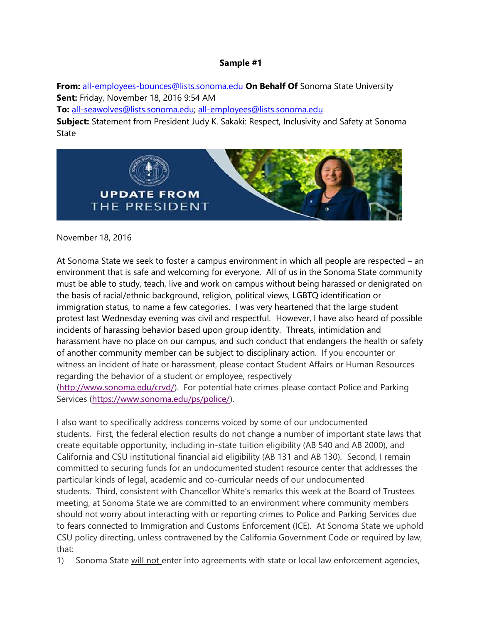**From:** [all-employees-bounces@lists.sonoma.edu](mailto:all-employees-bounces@lists.sonoma.edu) **On Behalf Of** Sonoma State University **Sent:** Friday, November 18, 2016 9:54 AM

**To:** [all-seawolves@lists.sonoma.edu;](mailto:all-seawolves@lists.sonoma.edu) [all-employees@lists.sonoma.edu](mailto:all-employees@lists.sonoma.edu)

**Subject:** Statement from President Judy K. Sakaki: Respect, Inclusivity and Safety at Sonoma State



November 18, 2016

At Sonoma State we seek to foster a campus environment in which all people are respected – an environment that is safe and welcoming for everyone. All of us in the Sonoma State community must be able to study, teach, live and work on campus without being harassed or denigrated on the basis of racial/ethnic background, religion, political views, LGBTQ identification or immigration status, to name a few categories. I was very heartened that the large student protest last Wednesday evening was civil and respectful. However, I have also heard of possible incidents of harassing behavior based upon group identity. Threats, intimidation and harassment have no place on our campus, and such conduct that endangers the health or safety of another community member can be subject to disciplinary action. If you encounter or witness an incident of hate or harassment, please contact Student Affairs or Human Resources regarding the behavior of a student or employee, respectively [\(http://www.sonoma.edu/crvd/\)](http://www.sonoma.edu/crvd/). For potential hate crimes please contact Police and Parking Services [\(https://www.sonoma.edu/ps/police/\)](https://www.sonoma.edu/ps/police/).

I also want to specifically address concerns voiced by some of our undocumented students. First, the federal election results do not change a number of important state laws that create equitable opportunity, including in-state tuition eligibility (AB 540 and AB 2000), and California and CSU institutional financial aid eligibility (AB 131 and AB 130). Second, I remain committed to securing funds for an undocumented student resource center that addresses the particular kinds of legal, academic and co-curricular needs of our undocumented students. Third, consistent with Chancellor White's remarks this week at the Board of Trustees meeting, at Sonoma State we are committed to an environment where community members should not worry about interacting with or reporting crimes to Police and Parking Services due to fears connected to Immigration and Customs Enforcement (ICE). At Sonoma State we uphold CSU policy directing, unless contravened by the California Government Code or required by law, that:

1) Sonoma State will not enter into agreements with state or local law enforcement agencies,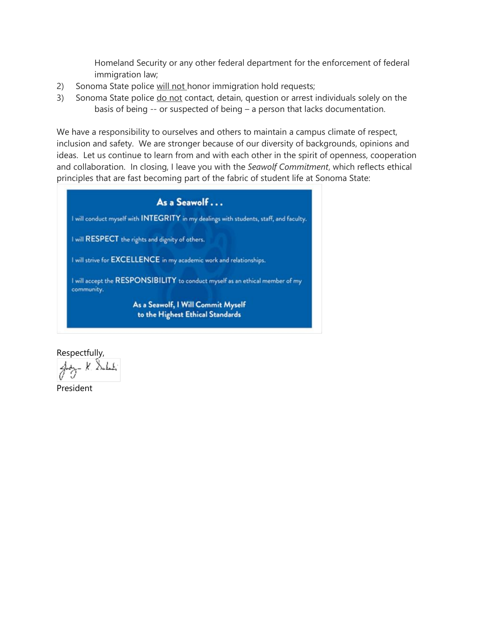Homeland Security or any other federal department for the enforcement of federal immigration law;

- 2) Sonoma State police will not honor immigration hold requests;
- 3) Sonoma State police do not contact, detain, question or arrest individuals solely on the basis of being -- or suspected of being – a person that lacks documentation.

We have a responsibility to ourselves and others to maintain a campus climate of respect, inclusion and safety. We are stronger because of our diversity of backgrounds, opinions and ideas. Let us continue to learn from and with each other in the spirit of openness, cooperation and collaboration. In closing, I leave you with the *Seawolf Commitment*, which reflects ethical principles that are fast becoming part of the fabric of student life at Sonoma State:

As a Seawolf... I will conduct myself with INTEGRITY in my dealings with students, staff, and faculty. I will RESPECT the rights and dignity of others. I will strive for EXCELLENCE in my academic work and relationships. I will accept the RESPONSIBILITY to conduct myself as an ethical member of my community. As a Seawolf, I Will Commit Myself to the Highest Ethical Standards

Respectfully,

President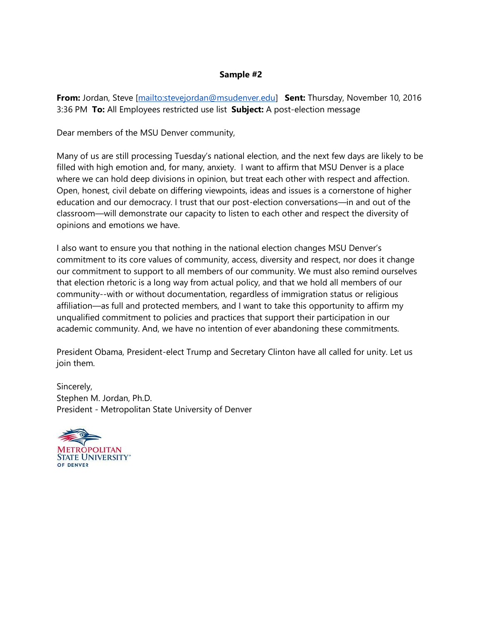**From:** Jordan, Steve [\[mailto:stevejordan@msudenver.edu\]](mailto:stevejordan@msudenver.edu) **Sent:** Thursday, November 10, 2016 3:36 PM **To:** All Employees restricted use list **Subject:** A post-election message

Dear members of the MSU Denver community,

Many of us are still processing Tuesday's national election, and the next few days are likely to be filled with high emotion and, for many, anxiety. I want to affirm that MSU Denver is a place where we can hold deep divisions in opinion, but treat each other with respect and affection. Open, honest, civil debate on differing viewpoints, ideas and issues is a cornerstone of higher education and our democracy. I trust that our post-election conversations—in and out of the classroom—will demonstrate our capacity to listen to each other and respect the diversity of opinions and emotions we have.

I also want to ensure you that nothing in the national election changes MSU Denver's commitment to its core values of community, access, diversity and respect, nor does it change our commitment to support to all members of our community. We must also remind ourselves that election rhetoric is a long way from actual policy, and that we hold all members of our community--with or without documentation, regardless of immigration status or religious affiliation—as full and protected members, and I want to take this opportunity to affirm my unqualified commitment to policies and practices that support their participation in our academic community. And, we have no intention of ever abandoning these commitments.

President Obama, President-elect Trump and Secretary Clinton have all called for unity. Let us join them.

Sincerely, Stephen M. Jordan, Ph.D. President - Metropolitan State University of Denver

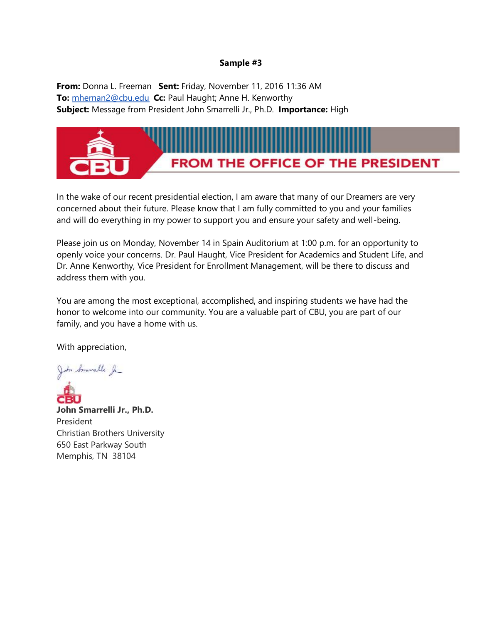**From:** Donna L. Freeman **Sent:** Friday, November 11, 2016 11:36 AM **To:** [mhernan2@cbu.edu](mailto:mhernan2@cbu.edu) **Cc:** Paul Haught; Anne H. Kenworthy **Subject:** Message from President John Smarrelli Jr., Ph.D. **Importance:** High



In the wake of our recent presidential election, I am aware that many of our Dreamers are very concerned about their future. Please know that I am fully committed to you and your families and will do everything in my power to support you and ensure your safety and well-being.

Please join us on Monday, November 14 in Spain Auditorium at 1:00 p.m. for an opportunity to openly voice your concerns. Dr. Paul Haught, Vice President for Academics and Student Life, and Dr. Anne Kenworthy, Vice President for Enrollment Management, will be there to discuss and address them with you.

You are among the most exceptional, accomplished, and inspiring students we have had the honor to welcome into our community. You are a valuable part of CBU, you are part of our family, and you have a home with us.

With appreciation,

John Smarselle Ja-

**John Smarrelli Jr., Ph.D.** President Christian Brothers University 650 East Parkway South Memphis, TN 38104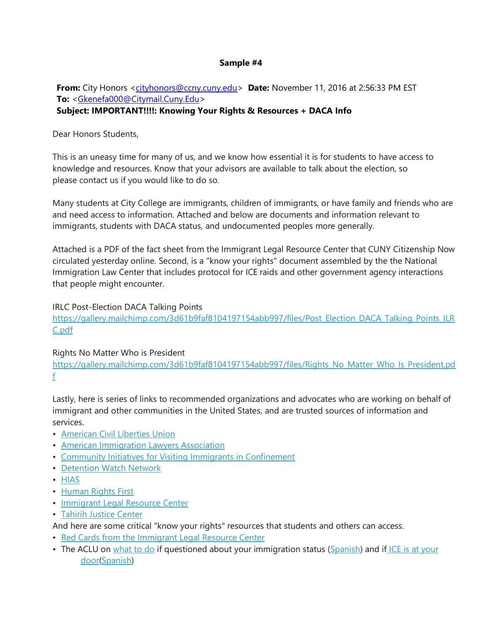## **From:** City Honors [<cityhonors@ccny.cuny.edu>](mailto:cityhonors@ccny.cuny.edu) Date: November 11, 2016 at 2:56:33 PM EST **To:** [<Gkenefa000@Citymail.Cuny.Edu>](mailto:Gkenefa000@Citymail.Cuny.Edu) **Subject: IMPORTANT!!!!: Knowing Your Rights & Resources + DACA Info**

## Dear Honors Students,

This is an uneasy time for many of us, and we know how essential it is for students to have access to knowledge and resources. Know that your advisors are available to talk about the election, so please contact us if you would like to do so.

Many students at City College are immigrants, children of immigrants, or have family and friends who are and need access to information. Attached and below are documents and information relevant to immigrants, students with DACA status, and undocumented peoples more generally.

Attached is a PDF of the fact sheet from the Immigrant Legal Resource Center that CUNY Citizenship Now circulated yesterday online. Second, is a "know your rights" document assembled by the the National Immigration Law Center that includes protocol for ICE raids and other government agency interactions that people might encounter.

IRLC Post-Election DACA Talking Points [https://gallery.mailchimp.com/3d61b9faf8104197154abb997/files/Post\\_Election\\_DACA\\_Talking\\_Points\\_ILR](http://cuny.us11.list-manage.com/track/click?u=3d61b9faf8104197154abb997&id=6602c9b39d&e=37f9892970) [C.pdf](http://cuny.us11.list-manage.com/track/click?u=3d61b9faf8104197154abb997&id=6602c9b39d&e=37f9892970)

Rights No Matter Who is President

[https://gallery.mailchimp.com/3d61b9faf8104197154abb997/files/Rights\\_No\\_Matter\\_Who\\_Is\\_President.pd](http://cuny.us11.list-manage1.com/track/click?u=3d61b9faf8104197154abb997&id=433aa227e3&e=37f9892970) [f](http://cuny.us11.list-manage1.com/track/click?u=3d61b9faf8104197154abb997&id=433aa227e3&e=37f9892970)

Lastly, here is series of links to recommended organizations and advocates who are working on behalf of immigrant and other communities in the United States, and are trusted sources of information and services.

- [American Civil Liberties Union](http://cuny.us11.list-manage.com/track/click?u=3d61b9faf8104197154abb997&id=b4cb84257a&e=37f9892970)
- [American Immigration Lawyers Association](http://cuny.us11.list-manage.com/track/click?u=3d61b9faf8104197154abb997&id=ef83bb57b5&e=37f9892970)
- [Community Initiatives for Visiting Immigrants in Confinement](http://cuny.us11.list-manage2.com/track/click?u=3d61b9faf8104197154abb997&id=bfbb66cd1f&e=37f9892970)
- [Detention Watch Network](http://cuny.us11.list-manage.com/track/click?u=3d61b9faf8104197154abb997&id=db6ecaabc9&e=37f9892970)
- [HIAS](http://cuny.us11.list-manage.com/track/click?u=3d61b9faf8104197154abb997&id=1516adc437&e=37f9892970)
- [Human Rights First](http://cuny.us11.list-manage.com/track/click?u=3d61b9faf8104197154abb997&id=a8c324cdaa&e=37f9892970)
- [Immigrant Legal Resource Center](http://cuny.us11.list-manage.com/track/click?u=3d61b9faf8104197154abb997&id=17886452a1&e=37f9892970)
- [Tahirih Justice Center](http://cuny.us11.list-manage1.com/track/click?u=3d61b9faf8104197154abb997&id=7f31dba34c&e=37f9892970)

And here are some critical "know your rights" resources that students and others can access.

- [Red Cards from the Immigrant Legal Resource Center](http://cuny.us11.list-manage.com/track/click?u=3d61b9faf8104197154abb997&id=e13b4fa3a7&e=37f9892970)
- The ACLU on [what to do](http://cuny.us11.list-manage.com/track/click?u=3d61b9faf8104197154abb997&id=44d3916a1e&e=37f9892970) if questioned about your immigration status [\(Spanish\)](http://cuny.us11.list-manage.com/track/click?u=3d61b9faf8104197154abb997&id=887a0d1965&e=37f9892970) and if ICE is at your [door](http://cuny.us11.list-manage.com/track/click?u=3d61b9faf8104197154abb997&id=47dba70550&e=37f9892970)[\(Spanish\)](http://cuny.us11.list-manage.com/track/click?u=3d61b9faf8104197154abb997&id=f0df4ea33c&e=37f9892970)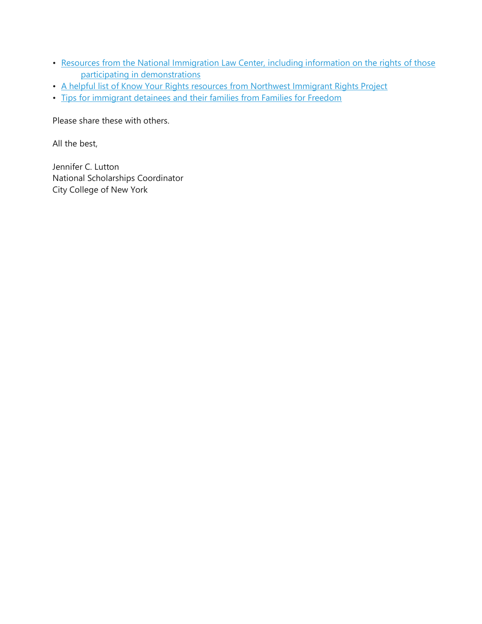- [Resources from the National Immigration Law Center, including information on the rights of those](http://cuny.us11.list-manage.com/track/click?u=3d61b9faf8104197154abb997&id=f0d069c3ea&e=37f9892970)  [participating in demonstrations](http://cuny.us11.list-manage.com/track/click?u=3d61b9faf8104197154abb997&id=f0d069c3ea&e=37f9892970)
- [A helpful list of Know Your Rights resources from Northwest Immigrant Rights Project](http://cuny.us11.list-manage1.com/track/click?u=3d61b9faf8104197154abb997&id=67883ea18b&e=37f9892970)
- [Tips for immigrant detainees and their families from Families for Freedom](http://cuny.us11.list-manage.com/track/click?u=3d61b9faf8104197154abb997&id=b9823dcc8c&e=37f9892970)

Please share these with others.

All the best,

Jennifer C. Lutton National Scholarships Coordinator City College of New York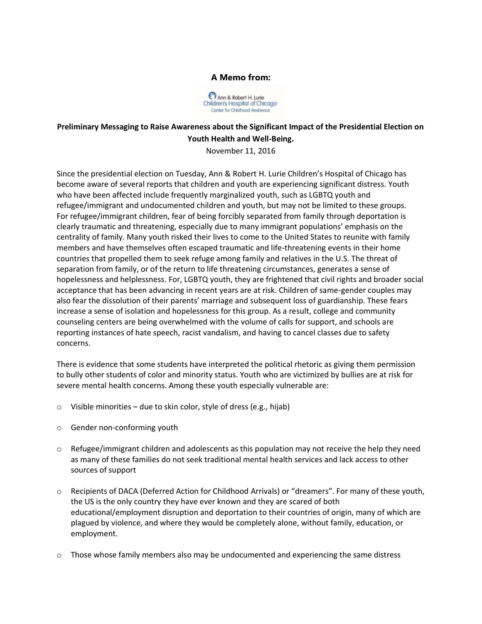



## **Preliminary Messaging to Raise Awareness about the Significant Impact of the Presidential Election on Youth Health and Well-Being.**

November 11, 2016

Since the presidential election on Tuesday, Ann & Robert H. Lurie Children's Hospital of Chicago has become aware of several reports that children and youth are experiencing significant distress. Youth who have been affected include frequently marginalized youth, such as LGBTQ youth and refugee/immigrant and undocumented children and youth, but may not be limited to these groups. For refugee/immigrant children, fear of being forcibly separated from family through deportation is clearly traumatic and threatening, especially due to many immigrant populations' emphasis on the centrality of family. Many youth risked their lives to come to the United States to reunite with family members and have themselves often escaped traumatic and life-threatening events in their home countries that propelled them to seek refuge among family and relatives in the U.S. The threat of separation from family, or of the return to life threatening circumstances, generates a sense of hopelessness and helplessness. For, LGBTQ youth, they are frightened that civil rights and broader social acceptance that has been advancing in recent years are at risk. Children of same-gender couples may also fear the dissolution of their parents' marriage and subsequent loss of guardianship. These fears increase a sense of isolation and hopelessness for this group. As a result, college and community counseling centers are being overwhelmed with the volume of calls for support, and schools are reporting instances of hate speech, racist vandalism, and having to cancel classes due to safety concerns.

There is evidence that some students have interpreted the political rhetoric as giving them permission to bully other students of color and minority status. Youth who are victimized by bullies are at risk for severe mental health concerns. Among these youth especially vulnerable are:

- $\circ$  Visible minorities due to skin color, style of dress (e.g., hijab)
- o Gender non-conforming youth
- $\circ$  Refugee/immigrant children and adolescents as this population may not receive the help they need as many of these families do not seek traditional mental health services and lack access to other sources of support
- o Recipients of DACA (Deferred Action for Childhood Arrivals) or "dreamers". For many of these youth, the US is the only country they have ever known and they are scared of both educational/employment disruption and deportation to their countries of origin, many of which are plagued by violence, and where they would be completely alone, without family, education, or employment.
- $\circ$  Those whose family members also may be undocumented and experiencing the same distress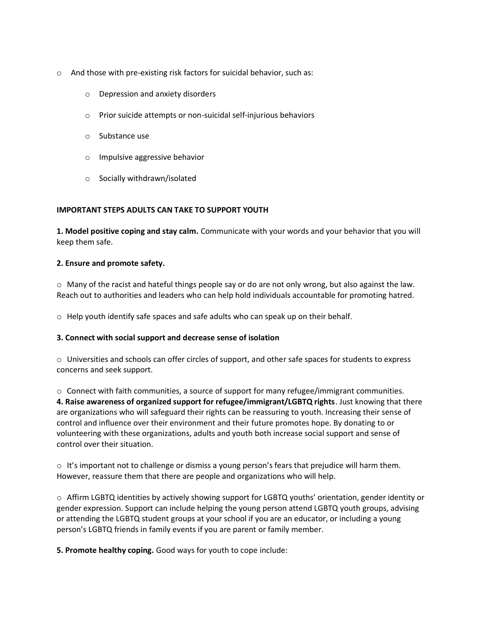- o And those with pre-existing risk factors for suicidal behavior, such as:
	- o Depression and anxiety disorders
	- o Prior suicide attempts or non-suicidal self-injurious behaviors
	- o Substance use
	- o Impulsive aggressive behavior
	- o Socially withdrawn/isolated

### **IMPORTANT STEPS ADULTS CAN TAKE TO SUPPORT YOUTH**

**1. Model positive coping and stay calm.** Communicate with your words and your behavior that you will keep them safe.

#### **2. Ensure and promote safety.**

 $\circ$  Many of the racist and hateful things people say or do are not only wrong, but also against the law. Reach out to authorities and leaders who can help hold individuals accountable for promoting hatred.

 $\circ$  Help youth identify safe spaces and safe adults who can speak up on their behalf.

#### **3. Connect with social support and decrease sense of isolation**

o Universities and schools can offer circles of support, and other safe spaces for students to express concerns and seek support.

o Connect with faith communities, a source of support for many refugee/immigrant communities. **4. Raise awareness of organized support for refugee/immigrant/LGBTQ rights**. Just knowing that there are organizations who will safeguard their rights can be reassuring to youth. Increasing their sense of control and influence over their environment and their future promotes hope. By donating to or volunteering with these organizations, adults and youth both increase social support and sense of control over their situation.

 $\circ$  It's important not to challenge or dismiss a young person's fears that prejudice will harm them. However, reassure them that there are people and organizations who will help.

o Affirm LGBTQ identities by actively showing support for LGBTQ youths' orientation, gender identity or gender expression. Support can include helping the young person attend LGBTQ youth groups, advising or attending the LGBTQ student groups at your school if you are an educator, or including a young person's LGBTQ friends in family events if you are parent or family member.

**5. Promote healthy coping.** Good ways for youth to cope include: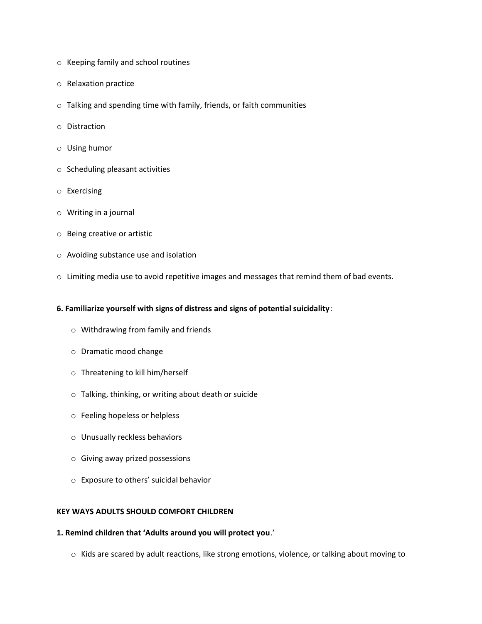- o Keeping family and school routines
- o Relaxation practice
- o Talking and spending time with family, friends, or faith communities
- o Distraction
- o Using humor
- o Scheduling pleasant activities
- o Exercising
- o Writing in a journal
- o Being creative or artistic
- o Avoiding substance use and isolation
- o Limiting media use to avoid repetitive images and messages that remind them of bad events.

#### **6. Familiarize yourself with signs of distress and signs of potential suicidality**:

- o Withdrawing from family and friends
- o Dramatic mood change
- o Threatening to kill him/herself
- o Talking, thinking, or writing about death or suicide
- o Feeling hopeless or helpless
- o Unusually reckless behaviors
- o Giving away prized possessions
- o Exposure to others' suicidal behavior

#### **KEY WAYS ADULTS SHOULD COMFORT CHILDREN**

#### **1. Remind children that 'Adults around you will protect you**.'

o Kids are scared by adult reactions, like strong emotions, violence, or talking about moving to